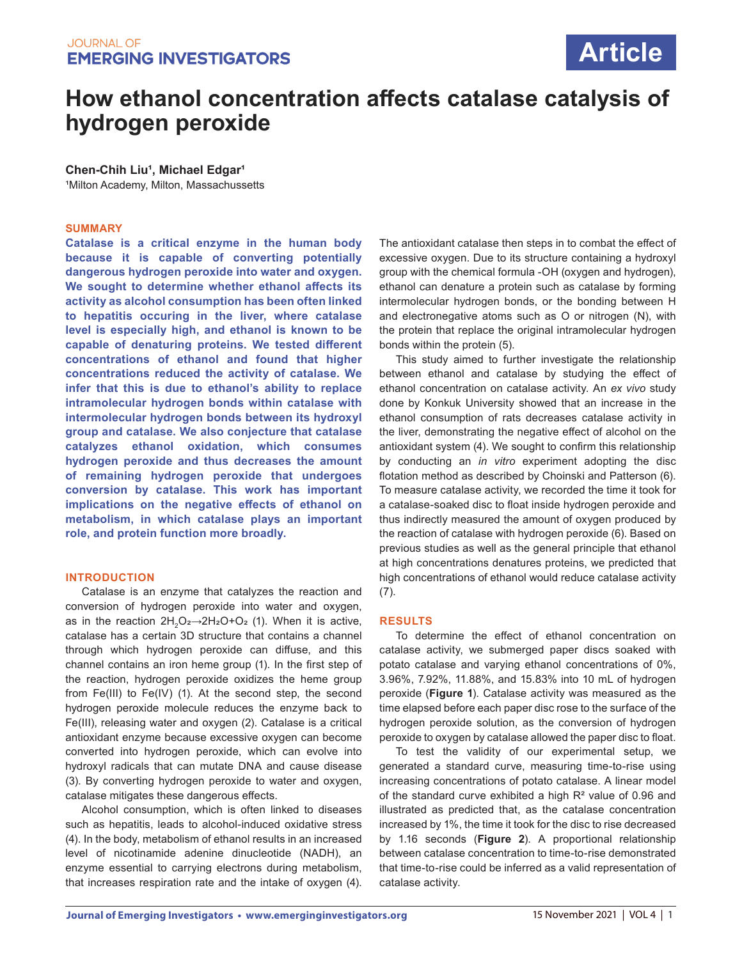# **Article**

## **How ethanol concentration affects catalase catalysis of hydrogen peroxide**

**Chen-Chih Liu<sup>1</sup>, Michael Edgar<sup>1</sup>** 

<sup>1</sup>Milton Academy, Milton, Massachussetts

#### **SUMMARY**

**Catalase is a critical enzyme in the human body because it is capable of converting potentially dangerous hydrogen peroxide into water and oxygen. We sought to determine whether ethanol affects its activity as alcohol consumption has been often linked to hepatitis occuring in the liver, where catalase level is especially high, and ethanol is known to be capable of denaturing proteins. We tested different concentrations of ethanol and found that higher concentrations reduced the activity of catalase. We infer that this is due to ethanol's ability to replace intramolecular hydrogen bonds within catalase with intermolecular hydrogen bonds between its hydroxyl group and catalase. We also conjecture that catalase catalyzes ethanol oxidation, which consumes hydrogen peroxide and thus decreases the amount of remaining hydrogen peroxide that undergoes conversion by catalase. This work has important implications on the negative effects of ethanol on metabolism, in which catalase plays an important role, and protein function more broadly.**

#### **INTRODUCTION**

Catalase is an enzyme that catalyzes the reaction and conversion of hydrogen peroxide into water and oxygen, as in the reaction  $2H_2O_2 \rightarrow 2H_2O+O_2$  (1). When it is active, catalase has a certain 3D structure that contains a channel through which hydrogen peroxide can diffuse, and this channel contains an iron heme group (1). In the first step of the reaction, hydrogen peroxide oxidizes the heme group from Fe(III) to Fe(IV) (1). At the second step, the second hydrogen peroxide molecule reduces the enzyme back to Fe(III), releasing water and oxygen (2). Catalase is a critical antioxidant enzyme because excessive oxygen can become converted into hydrogen peroxide, which can evolve into hydroxyl radicals that can mutate DNA and cause disease (3). By converting hydrogen peroxide to water and oxygen, catalase mitigates these dangerous effects.

Alcohol consumption, which is often linked to diseases such as hepatitis, leads to alcohol-induced oxidative stress (4). In the body, metabolism of ethanol results in an increased level of nicotinamide adenine dinucleotide (NADH), an enzyme essential to carrying electrons during metabolism, that increases respiration rate and the intake of oxygen (4).

The antioxidant catalase then steps in to combat the effect of excessive oxygen. Due to its structure containing a hydroxyl group with the chemical formula -OH (oxygen and hydrogen), ethanol can denature a protein such as catalase by forming intermolecular hydrogen bonds, or the bonding between H and electronegative atoms such as O or nitrogen (N), with the protein that replace the original intramolecular hydrogen bonds within the protein (5).

This study aimed to further investigate the relationship between ethanol and catalase by studying the effect of ethanol concentration on catalase activity. An *ex vivo* study done by Konkuk University showed that an increase in the ethanol consumption of rats decreases catalase activity in the liver, demonstrating the negative effect of alcohol on the antioxidant system (4). We sought to confirm this relationship by conducting an *in vitro* experiment adopting the disc flotation method as described by Choinski and Patterson (6). To measure catalase activity, we recorded the time it took for a catalase-soaked disc to float inside hydrogen peroxide and thus indirectly measured the amount of oxygen produced by the reaction of catalase with hydrogen peroxide (6). Based on previous studies as well as the general principle that ethanol at high concentrations denatures proteins, we predicted that high concentrations of ethanol would reduce catalase activity (7).

#### **RESULTS**

To determine the effect of ethanol concentration on catalase activity, we submerged paper discs soaked with potato catalase and varying ethanol concentrations of 0%, 3.96%, 7.92%, 11.88%, and 15.83% into 10 mL of hydrogen peroxide (**Figure 1**). Catalase activity was measured as the time elapsed before each paper disc rose to the surface of the hydrogen peroxide solution, as the conversion of hydrogen peroxide to oxygen by catalase allowed the paper disc to float.

To test the validity of our experimental setup, we generated a standard curve, measuring time-to-rise using increasing concentrations of potato catalase. A linear model of the standard curve exhibited a high R² value of 0.96 and illustrated as predicted that, as the catalase concentration increased by 1%, the time it took for the disc to rise decreased by 1.16 seconds (**Figure 2**). A proportional relationship between catalase concentration to time-to-rise demonstrated that time-to-rise could be inferred as a valid representation of catalase activity.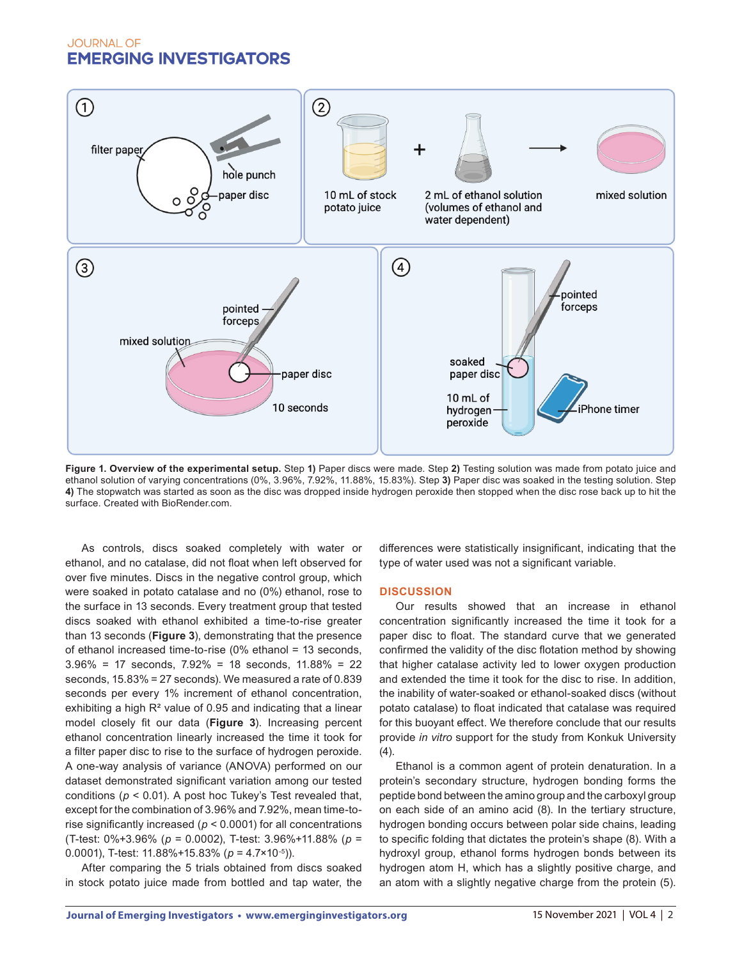

**Figure 1. Overview of the experimental setup.** Step **1)** Paper discs were made. Step **2)** Testing solution was made from potato juice and ethanol solution of varying concentrations (0%, 3.96%, 7.92%, 11.88%, 15.83%). Step **3)** Paper disc was soaked in the testing solution. Step **4)** The stopwatch was started as soon as the disc was dropped inside hydrogen peroxide then stopped when the disc rose back up to hit the surface. Created with BioRender.com.

As controls, discs soaked completely with water or ethanol, and no catalase, did not float when left observed for over five minutes. Discs in the negative control group, which were soaked in potato catalase and no (0%) ethanol, rose to the surface in 13 seconds. Every treatment group that tested discs soaked with ethanol exhibited a time-to-rise greater than 13 seconds (**Figure 3**), demonstrating that the presence of ethanol increased time-to-rise (0% ethanol = 13 seconds, 3.96% = 17 seconds, 7.92% = 18 seconds, 11.88% = 22 seconds, 15.83% = 27 seconds). We measured a rate of 0.839 seconds per every 1% increment of ethanol concentration, exhibiting a high  $R<sup>2</sup>$  value of 0.95 and indicating that a linear model closely fit our data (**Figure 3**). Increasing percent ethanol concentration linearly increased the time it took for a filter paper disc to rise to the surface of hydrogen peroxide. A one-way analysis of variance (ANOVA) performed on our dataset demonstrated significant variation among our tested conditions (*p* < 0.01). A post hoc Tukey's Test revealed that, except for the combination of 3.96% and 7.92%, mean time-torise significantly increased (*p* < 0.0001) for all concentrations (T-test: 0%+3.96% (*p* = 0.0002), T-test: 3.96%+11.88% (*p* = 0.0001), T-test: 11.88%+15.83% (*p* = 4.7×10-5)).

After comparing the 5 trials obtained from discs soaked in stock potato juice made from bottled and tap water, the differences were statistically insignificant, indicating that the type of water used was not a significant variable.

#### **DISCUSSION**

Our results showed that an increase in ethanol concentration significantly increased the time it took for a paper disc to float. The standard curve that we generated confirmed the validity of the disc flotation method by showing that higher catalase activity led to lower oxygen production and extended the time it took for the disc to rise. In addition, the inability of water-soaked or ethanol-soaked discs (without potato catalase) to float indicated that catalase was required for this buoyant effect. We therefore conclude that our results provide *in vitro* support for the study from Konkuk University (4).

Ethanol is a common agent of protein denaturation. In a protein's secondary structure, hydrogen bonding forms the peptide bond between the amino group and the carboxyl group on each side of an amino acid (8). In the tertiary structure, hydrogen bonding occurs between polar side chains, leading to specific folding that dictates the protein's shape (8). With a hydroxyl group, ethanol forms hydrogen bonds between its hydrogen atom H, which has a slightly positive charge, and an atom with a slightly negative charge from the protein (5).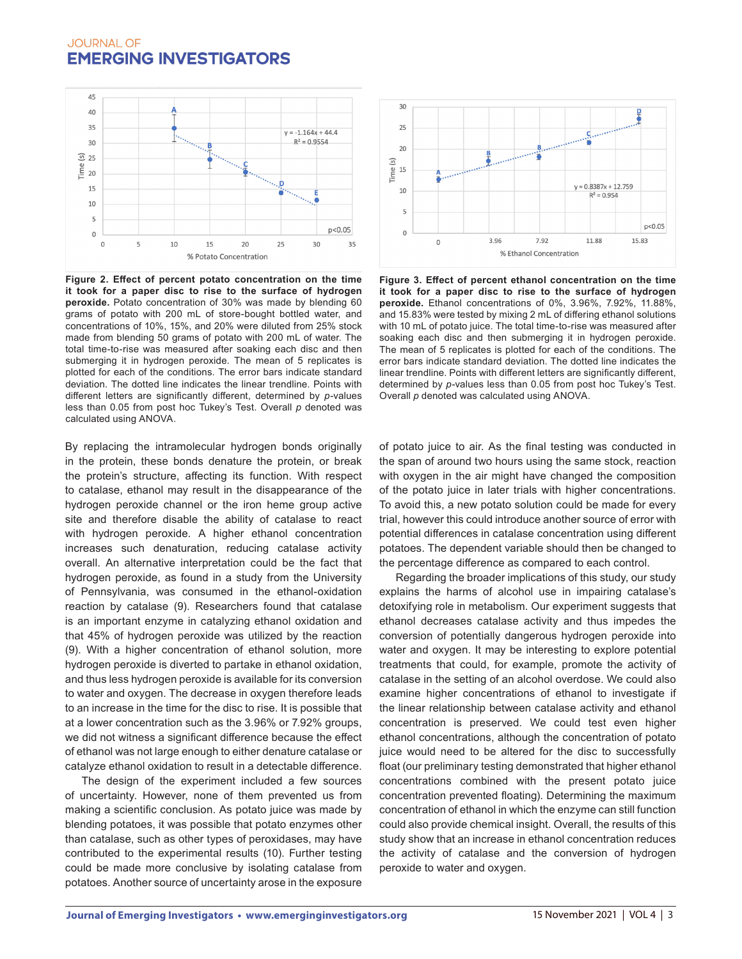

**Figure 2. Effect of percent potato concentration on the time it took for a paper disc to rise to the surface of hydrogen peroxide.** Potato concentration of 30% was made by blending 60 grams of potato with 200 mL of store-bought bottled water, and concentrations of 10%, 15%, and 20% were diluted from 25% stock made from blending 50 grams of potato with 200 mL of water. The total time-to-rise was measured after soaking each disc and then submerging it in hydrogen peroxide. The mean of 5 replicates is plotted for each of the conditions. The error bars indicate standard deviation. The dotted line indicates the linear trendline. Points with different letters are significantly different, determined by *p*-values less than 0.05 from post hoc Tukey's Test. Overall *p* denoted was calculated using ANOVA.

By replacing the intramolecular hydrogen bonds originally in the protein, these bonds denature the protein, or break the protein's structure, affecting its function. With respect to catalase, ethanol may result in the disappearance of the hydrogen peroxide channel or the iron heme group active site and therefore disable the ability of catalase to react with hydrogen peroxide. A higher ethanol concentration increases such denaturation, reducing catalase activity overall. An alternative interpretation could be the fact that hydrogen peroxide, as found in a study from the University of Pennsylvania, was consumed in the ethanol-oxidation reaction by catalase (9). Researchers found that catalase is an important enzyme in catalyzing ethanol oxidation and that 45% of hydrogen peroxide was utilized by the reaction (9). With a higher concentration of ethanol solution, more hydrogen peroxide is diverted to partake in ethanol oxidation, and thus less hydrogen peroxide is available for its conversion to water and oxygen. The decrease in oxygen therefore leads to an increase in the time for the disc to rise. It is possible that at a lower concentration such as the 3.96% or 7.92% groups, we did not witness a significant difference because the effect of ethanol was not large enough to either denature catalase or catalyze ethanol oxidation to result in a detectable difference.

The design of the experiment included a few sources of uncertainty. However, none of them prevented us from making a scientific conclusion. As potato juice was made by blending potatoes, it was possible that potato enzymes other than catalase, such as other types of peroxidases, may have contributed to the experimental results (10). Further testing could be made more conclusive by isolating catalase from potatoes. Another source of uncertainty arose in the exposure



**Figure 3. Effect of percent ethanol concentration on the time it took for a paper disc to rise to the surface of hydrogen peroxide.** Ethanol concentrations of 0%, 3.96%, 7.92%, 11.88%, and 15.83% were tested by mixing 2 mL of differing ethanol solutions with 10 mL of potato juice. The total time-to-rise was measured after soaking each disc and then submerging it in hydrogen peroxide. The mean of 5 replicates is plotted for each of the conditions. The error bars indicate standard deviation. The dotted line indicates the linear trendline. Points with different letters are significantly different, determined by *p*-values less than 0.05 from post hoc Tukey's Test. Overall *p* denoted was calculated using ANOVA.

of potato juice to air. As the final testing was conducted in the span of around two hours using the same stock, reaction with oxygen in the air might have changed the composition of the potato juice in later trials with higher concentrations. To avoid this, a new potato solution could be made for every trial, however this could introduce another source of error with potential differences in catalase concentration using different potatoes. The dependent variable should then be changed to the percentage difference as compared to each control.

Regarding the broader implications of this study, our study explains the harms of alcohol use in impairing catalase's detoxifying role in metabolism. Our experiment suggests that ethanol decreases catalase activity and thus impedes the conversion of potentially dangerous hydrogen peroxide into water and oxygen. It may be interesting to explore potential treatments that could, for example, promote the activity of catalase in the setting of an alcohol overdose. We could also examine higher concentrations of ethanol to investigate if the linear relationship between catalase activity and ethanol concentration is preserved. We could test even higher ethanol concentrations, although the concentration of potato juice would need to be altered for the disc to successfully float (our preliminary testing demonstrated that higher ethanol concentrations combined with the present potato juice concentration prevented floating). Determining the maximum concentration of ethanol in which the enzyme can still function could also provide chemical insight. Overall, the results of this study show that an increase in ethanol concentration reduces the activity of catalase and the conversion of hydrogen peroxide to water and oxygen.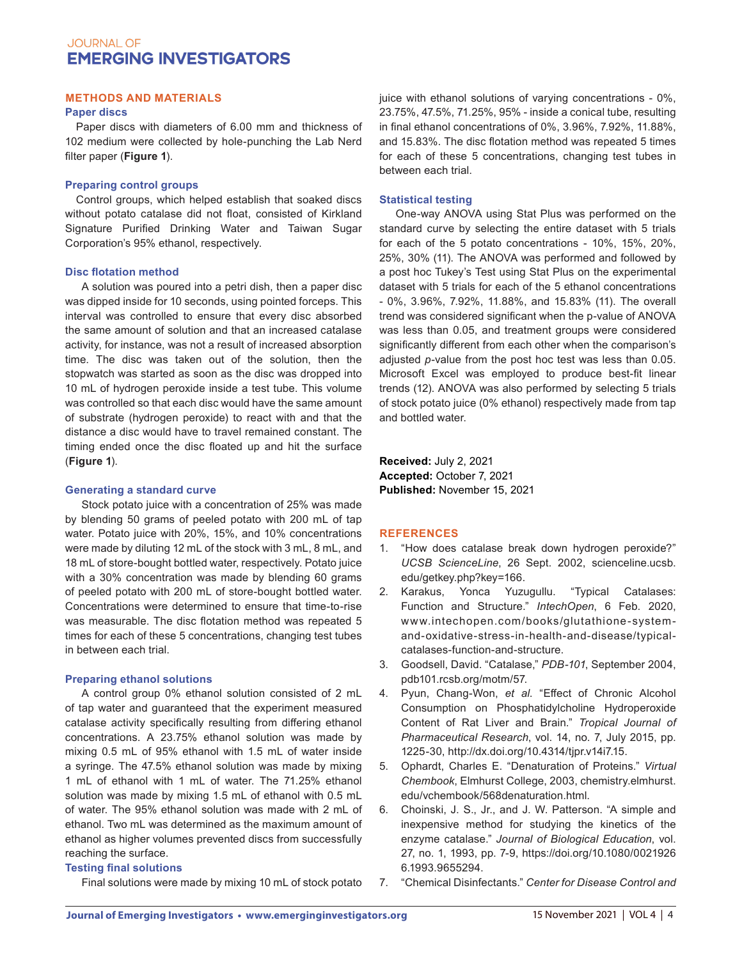#### **METHODS AND MATERIALS**

#### **Paper discs**

Paper discs with diameters of 6.00 mm and thickness of 102 medium were collected by hole-punching the Lab Nerd filter paper (**Figure 1**).

#### **Preparing control groups**

Control groups, which helped establish that soaked discs without potato catalase did not float, consisted of Kirkland Signature Purified Drinking Water and Taiwan Sugar Corporation's 95% ethanol, respectively.

#### **Disc flotation method**

A solution was poured into a petri dish, then a paper disc was dipped inside for 10 seconds, using pointed forceps. This interval was controlled to ensure that every disc absorbed the same amount of solution and that an increased catalase activity, for instance, was not a result of increased absorption time. The disc was taken out of the solution, then the stopwatch was started as soon as the disc was dropped into 10 mL of hydrogen peroxide inside a test tube. This volume was controlled so that each disc would have the same amount of substrate (hydrogen peroxide) to react with and that the distance a disc would have to travel remained constant. The timing ended once the disc floated up and hit the surface (**Figure 1**).

#### **Generating a standard curve**

Stock potato juice with a concentration of 25% was made by blending 50 grams of peeled potato with 200 mL of tap water. Potato juice with 20%, 15%, and 10% concentrations were made by diluting 12 mL of the stock with 3 mL, 8 mL, and 18 mL of store-bought bottled water, respectively. Potato juice with a 30% concentration was made by blending 60 grams of peeled potato with 200 mL of store-bought bottled water. Concentrations were determined to ensure that time-to-rise was measurable. The disc flotation method was repeated 5 times for each of these 5 concentrations, changing test tubes in between each trial.

#### **Preparing ethanol solutions**

A control group 0% ethanol solution consisted of 2 mL of tap water and guaranteed that the experiment measured catalase activity specifically resulting from differing ethanol concentrations. A 23.75% ethanol solution was made by mixing 0.5 mL of 95% ethanol with 1.5 mL of water inside a syringe. The 47.5% ethanol solution was made by mixing 1 mL of ethanol with 1 mL of water. The 71.25% ethanol solution was made by mixing 1.5 mL of ethanol with 0.5 mL of water. The 95% ethanol solution was made with 2 mL of ethanol. Two mL was determined as the maximum amount of ethanol as higher volumes prevented discs from successfully reaching the surface.

#### **Testing final solutions**

Final solutions were made by mixing 10 mL of stock potato

juice with ethanol solutions of varying concentrations - 0%, 23.75%, 47.5%, 71.25%, 95% - inside a conical tube, resulting in final ethanol concentrations of 0%, 3.96%, 7.92%, 11.88%, and 15.83%. The disc flotation method was repeated 5 times for each of these 5 concentrations, changing test tubes in between each trial.

#### **Statistical testing**

One-way ANOVA using Stat Plus was performed on the standard curve by selecting the entire dataset with 5 trials for each of the 5 potato concentrations - 10%, 15%, 20%, 25%, 30% (11). The ANOVA was performed and followed by a post hoc Tukey's Test using Stat Plus on the experimental dataset with 5 trials for each of the 5 ethanol concentrations - 0%, 3.96%, 7.92%, 11.88%, and 15.83% (11). The overall trend was considered significant when the p-value of ANOVA was less than 0.05, and treatment groups were considered significantly different from each other when the comparison's adjusted *p*-value from the post hoc test was less than 0.05. Microsoft Excel was employed to produce best-fit linear trends (12). ANOVA was also performed by selecting 5 trials of stock potato juice (0% ethanol) respectively made from tap and bottled water.

**Received:** July 2, 2021 **Accepted:** October 7, 2021 **Published:** November 15, 2021

#### **REFERENCES**

- 1. "How does catalase break down hydrogen peroxide?" *UCSB ScienceLine*, 26 Sept. 2002, scienceline.ucsb. edu/getkey.php?key=166.
- 2. Karakus, Yonca Yuzugullu. "Typical Catalases: Function and Structure." *IntechOpen*, 6 Feb. 2020, www.intechopen.com/books/glutathione-systemand-oxidative-stress-in-health-and-disease/typicalcatalases-function-and-structure.
- 3. Goodsell, David. "Catalase," *PDB-101*, September 2004, pdb101.rcsb.org/motm/57.
- 4. Pyun, Chang-Won, *et al*. "Effect of Chronic Alcohol Consumption on Phosphatidylcholine Hydroperoxide Content of Rat Liver and Brain." *Tropical Journal of Pharmaceutical Research*, vol. 14, no. 7, July 2015, pp. 1225-30, http://dx.doi.org/10.4314/tjpr.v14i7.15.
- 5. Ophardt, Charles E. "Denaturation of Proteins." *Virtual Chembook*, Elmhurst College, 2003, chemistry.elmhurst. edu/vchembook/568denaturation.html.
- 6. Choinski, J. S., Jr., and J. W. Patterson. "A simple and inexpensive method for studying the kinetics of the enzyme catalase." *Journal of Biological Education*, vol. 27, no. 1, 1993, pp. 7-9, https://doi.org/10.1080/0021926 6.1993.9655294.
- 7. "Chemical Disinfectants." *Center for Disease Control and*